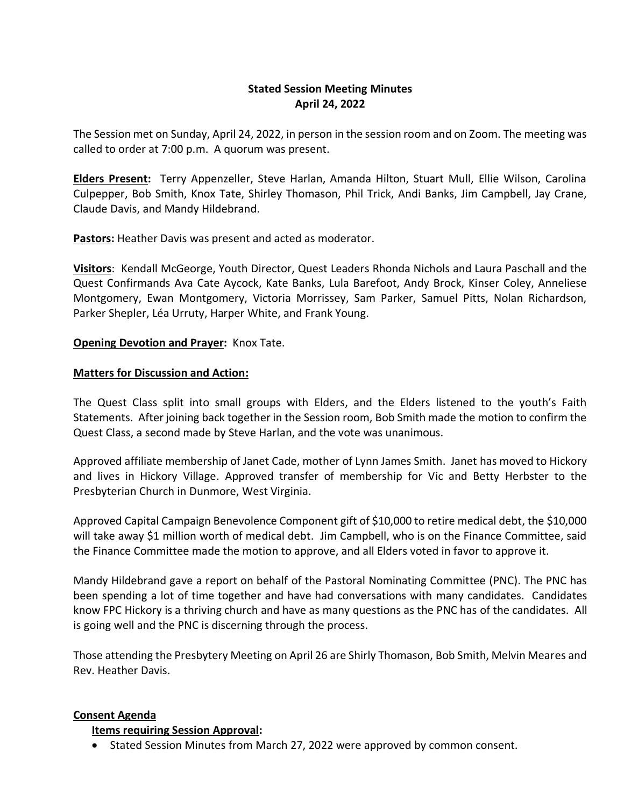# **Stated Session Meeting Minutes April 24, 2022**

The Session met on Sunday, April 24, 2022, in person in the session room and on Zoom. The meeting was called to order at 7:00 p.m. A quorum was present.

**Elders Present:** Terry Appenzeller, Steve Harlan, Amanda Hilton, Stuart Mull, Ellie Wilson, Carolina Culpepper, Bob Smith, Knox Tate, Shirley Thomason, Phil Trick, Andi Banks, Jim Campbell, Jay Crane, Claude Davis, and Mandy Hildebrand.

**Pastors:** Heather Davis was present and acted as moderator.

**Visitors**: Kendall McGeorge, Youth Director, Quest Leaders Rhonda Nichols and Laura Paschall and the Quest Confirmands Ava Cate Aycock, Kate Banks, Lula Barefoot, Andy Brock, Kinser Coley, Anneliese Montgomery, Ewan Montgomery, Victoria Morrissey, Sam Parker, Samuel Pitts, Nolan Richardson, Parker Shepler, Léa Urruty, Harper White, and Frank Young.

### **Opening Devotion and Prayer:** Knox Tate.

### **Matters for Discussion and Action:**

The Quest Class split into small groups with Elders, and the Elders listened to the youth's Faith Statements. After joining back together in the Session room, Bob Smith made the motion to confirm the Quest Class, a second made by Steve Harlan, and the vote was unanimous.

Approved affiliate membership of Janet Cade, mother of Lynn James Smith. Janet has moved to Hickory and lives in Hickory Village. Approved transfer of membership for Vic and Betty Herbster to the Presbyterian Church in Dunmore, West Virginia.

Approved Capital Campaign Benevolence Component gift of \$10,000 to retire medical debt, the \$10,000 will take away \$1 million worth of medical debt. Jim Campbell, who is on the Finance Committee, said the Finance Committee made the motion to approve, and all Elders voted in favor to approve it.

Mandy Hildebrand gave a report on behalf of the Pastoral Nominating Committee (PNC). The PNC has been spending a lot of time together and have had conversations with many candidates. Candidates know FPC Hickory is a thriving church and have as many questions as the PNC has of the candidates. All is going well and the PNC is discerning through the process.

Those attending the Presbytery Meeting on April 26 are Shirly Thomason, Bob Smith, Melvin Meares and Rev. Heather Davis.

### **Consent Agenda**

### **Items requiring Session Approval:**

• Stated Session Minutes from March 27, 2022 were approved by common consent.